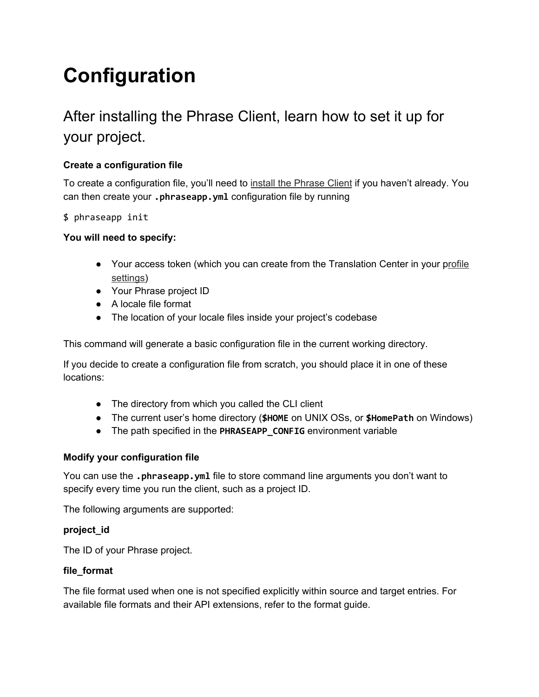# **Configuration**

# After installing the Phrase Client, learn how to set it up for your project.

# **Create a configuration file**

To create a configuration file, you'll need to install the [Phrase](https://help.phrase.com/help/phrase-in-your-terminal?hsLang=en) Client if you haven't already. You can then create your **.phraseapp.yml** configuration file by running

\$ phraseapp init

# **You will need to specify:**

- Your access token (which you can create from the Translation Center in your [profile](https://app.phrase.com/settings/oauth_access_tokens) [settings\)](https://app.phrase.com/settings/oauth_access_tokens)
- Your Phrase project ID
- A locale file format
- The location of your locale files inside your project's codebase

This command will generate a basic configuration file in the current working directory.

If you decide to create a configuration file from scratch, you should place it in one of these locations:

- The directory from which you called the CLI client
- The current user's home directory (**\$HOME** on UNIX OSs, or **\$HomePath** on Windows)
- The path specified in the **PHRASEAPP\_CONFIG** environment variable

# **Modify your configuration file**

You can use the **.phraseapp.yml** file to store command line arguments you don't want to specify every time you run the client, such as a project ID.

The following arguments are supported:

# **project\_id**

The ID of your Phrase project.

# **file\_format**

The file format used when one is not specified explicitly within source and target entries. For available file formats and their API extensions, refer to the format guide.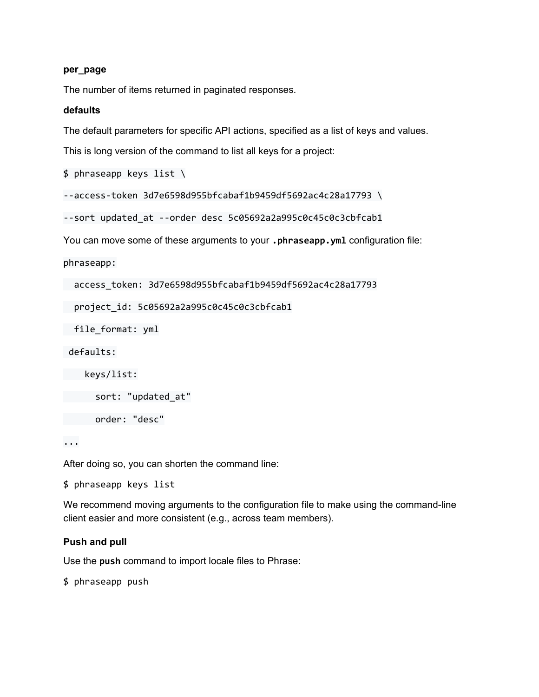#### **per\_page**

The number of items returned in paginated responses.

#### **defaults**

The default parameters for specific API actions, specified as a list of keys and values.

This is long version of the command to list all keys for a project:

\$ phraseapp keys list \

--access-token 3d7e6598d955bfcabaf1b9459df5692ac4c28a17793 \

--sort updated\_at --order desc 5c05692a2a995c0c45c0c3cbfcab1

You can move some of these arguments to your **.phraseapp.yml** configuration file:

phraseapp:

access\_token: 3d7e6598d955bfcabaf1b9459df5692ac4c28a17793

project\_id: 5c05692a2a995c0c45c0c3cbfcab1

file\_format: yml

defaults:

keys/list:

sort: "updated\_at"

order: "desc"

...

After doing so, you can shorten the command line:

\$ phraseapp keys list

We recommend moving arguments to the configuration file to make using the command-line client easier and more consistent (e.g., across team members).

#### **Push and pull**

Use the **push** command to import locale files to Phrase:

\$ phraseapp push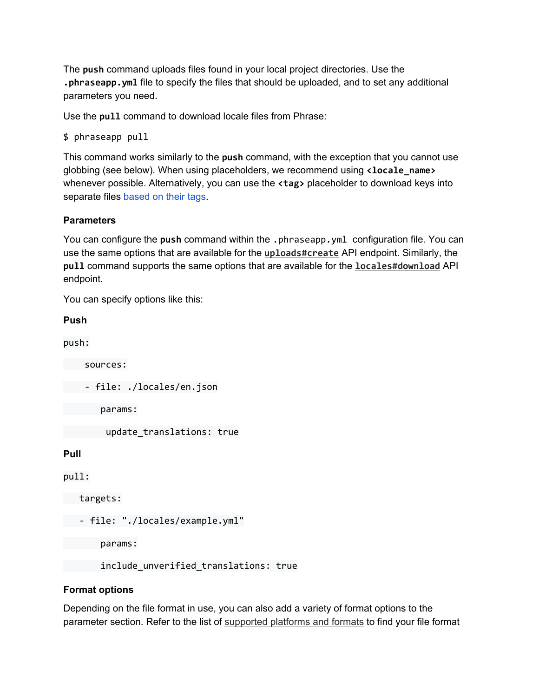The **push** command uploads files found in your local project directories. Use the **.phraseapp.yml** file to specify the files that should be uploaded, and to set any additional parameters you need.

Use the **pull** command to download locale files from Phrase:

```
$ phraseapp pull
```
This command works similarly to the **push** command, with the exception that you cannot use globbing (see below). When using placeholders, we recommend using **<locale\_name>** whenever possible. Alternatively, you can use the **<tag>** placeholder to download keys into separate files [based](https://help.phrase.com/help/working-more-efficiently-with-tags?hsLang=en) on their tags.

# **Parameters**

You can configure the **push** command within the .phraseapp.yml configuration file. You can use the same options that are available for the **[uploads#create](https://developers.phrase.com/api/#uploads)** API endpoint. Similarly, the **pull** command supports the same options that are available for the **[locales#download](https://developers.phrase.com/api/#locales)** API endpoint.

You can specify options like this:

| Push                          |
|-------------------------------|
| push:                         |
| sources:                      |
| file: ./locales/en.json       |
| params:                       |
| update_translations: true     |
| Pull                          |
| pull:                         |
| targets:                      |
| file: "./locales/example.yml" |
| params:                       |

include\_unverified\_translations: true

# **Format options**

Depending on the file format in use, you can also add a variety of format options to the parameter section. Refer to the list of [supported](https://help.phrase.com/help/supported-platforms-and-formats?hsLang=en) platforms and formats to find your file format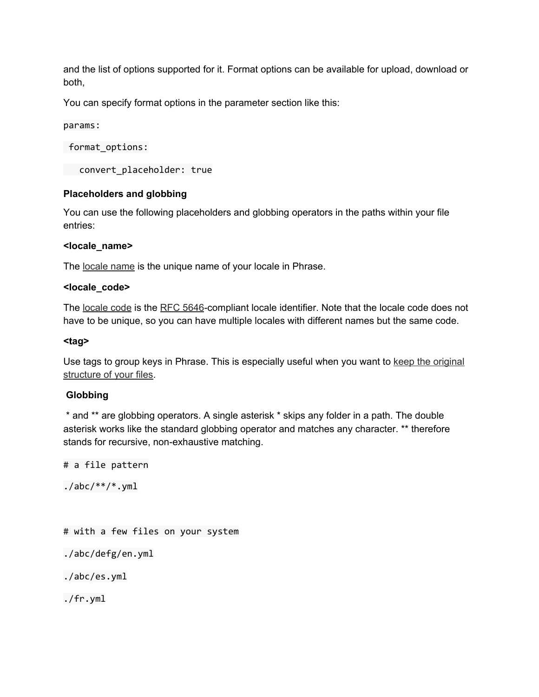and the list of options supported for it. Format options can be available for upload, download or both,

You can specify format options in the parameter section like this:

params:

format\_options:

convert\_placeholder: true

# **Placeholders and globbing**

You can use the following placeholders and globbing operators in the paths within your file entries:

#### **<locale\_name>**

The [locale](https://help.phrase.com/help/managing-locales-and-languages?hsLang=en) name is the unique name of your locale in Phrase.

#### **<locale\_code>**

The [locale](https://help.phrase.com/help/managing-locales-and-languages?hsLang=en) code is the RFC [5646](https://tools.ietf.org/html/rfc5646)-compliant locale identifier. Note that the locale code does not have to be unique, so you can have multiple locales with different names but the same code.

#### **<tag>**

Use tags to group keys in Phrase. This is especially useful when you want to keep the [original](https://help.phrase.com/help/structuring-translations-how-to-keep-the-original-files?hsLang=en) [structure](https://help.phrase.com/help/structuring-translations-how-to-keep-the-original-files?hsLang=en) of your files.

# **Globbing**

\* and \*\* are globbing operators. A single asterisk \* skips any folder in a path. The double asterisk works like the standard globbing operator and matches any character. \*\* therefore stands for recursive, non-exhaustive matching.

# a file pattern

 $./abc/**/*.ym1$ 

# with a few files on your system

./abc/defg/en.yml

./abc/es.yml

./fr.yml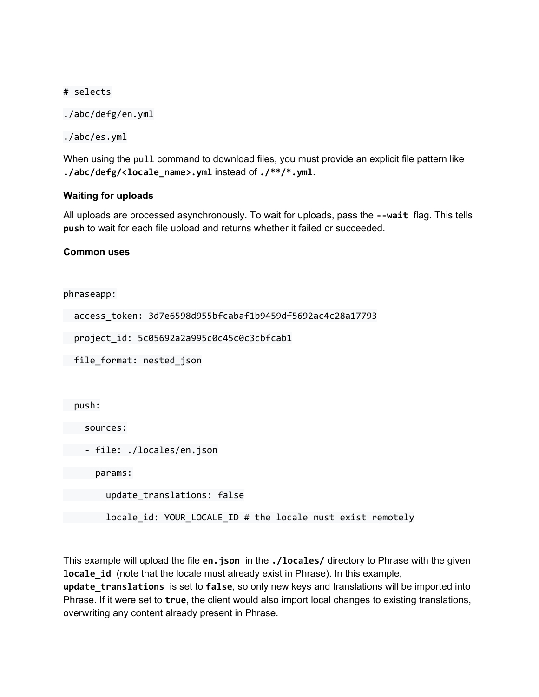#### # selects

```
./abc/defg/en.yml
```

```
./abc/es.yml
```
When using the pull command to download files, you must provide an explicit file pattern like **./abc/defg/<locale\_name>.yml** instead of **./\*\*/\*.yml**.

# **Waiting for uploads**

All uploads are processed asynchronously. To wait for uploads, pass the **--wait** flag. This tells **push** to wait for each file upload and returns whether it failed or succeeded.

# **Common uses**

phraseapp:

```
access_token: 3d7e6598d955bfcabaf1b9459df5692ac4c28a17793
```
project\_id: 5c05692a2a995c0c45c0c3cbfcab1

file\_format: nested\_json

push:

sources:

```
- file: ./locales/en.json
```
params:

update\_translations: false

locale\_id: YOUR\_LOCALE\_ID # the locale must exist remotely

This example will upload the file **en.json** in the **./locales/** directory to Phrase with the given **locale id** (note that the locale must already exist in Phrase). In this example,

**update\_translations** is set to **false**, so only new keys and translations will be imported into Phrase. If it were set to **true**, the client would also import local changes to existing translations, overwriting any content already present in Phrase.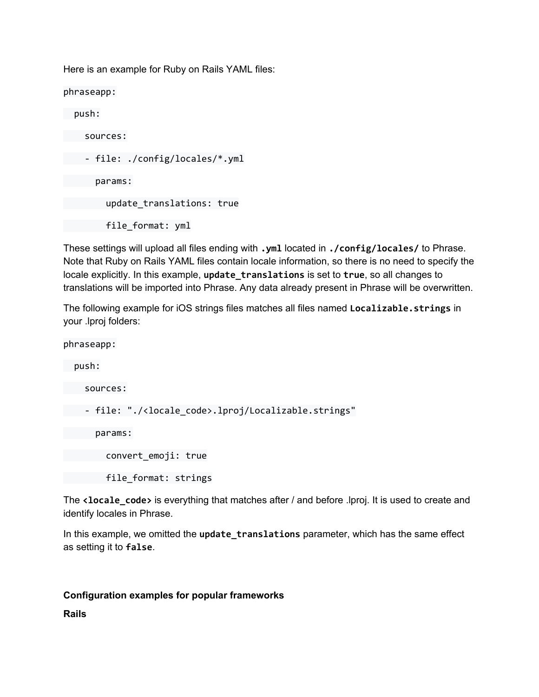Here is an example for Ruby on Rails YAML files:

phraseapp: push: sources: - file: ./config/locales/\*.yml params: update\_translations: true file\_format: yml

These settings will upload all files ending with **.yml** located in **./config/locales/** to Phrase. Note that Ruby on Rails YAML files contain locale information, so there is no need to specify the locale explicitly. In this example, **update\_translations** is set to **true**, so all changes to translations will be imported into Phrase. Any data already present in Phrase will be overwritten.

The following example for iOS strings files matches all files named **Localizable.strings** in your .lproj folders:

phraseapp:

push:

sources:

- file: "./<locale\_code>.lproj/Localizable.strings"

params:

convert\_emoji: true

file\_format: strings

The **<locale\_code>** is everything that matches after / and before .lproj. It is used to create and identify locales in Phrase.

In this example, we omitted the **update\_translations** parameter, which has the same effect as setting it to **false**.

# **Configuration examples for popular frameworks**

**Rails**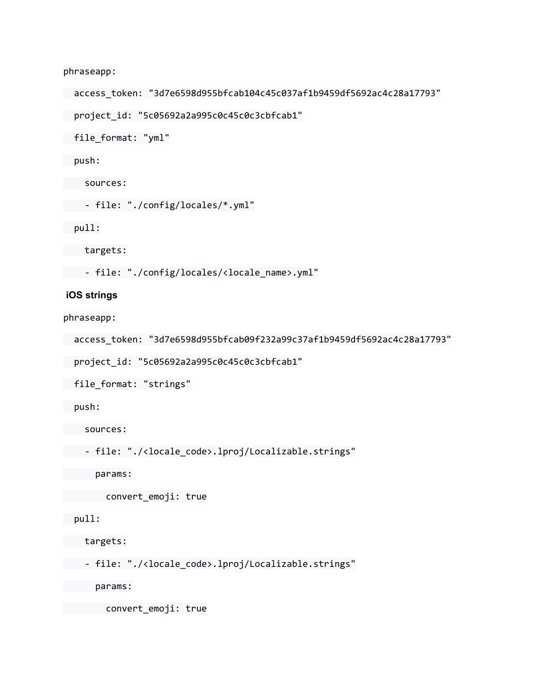phraseapp:

```
access_token: "3d7e6598d955bfcab104c45c037af1b9459df5692ac4c28a17793"
```
project\_id: "5c05692a2a995c0c45c0c3cbfcab1"

file\_format: "yml"

push:

sources:

```
- file: "./config/locales/*.yml"
```
pull:

targets:

- file: "./config/locales/<locale\_name>.yml"

#### **iOS strings**

phraseapp:

```
access_token: "3d7e6598d955bfcab09f232a99c37af1b9459df5692ac4c28a17793"
```
project\_id: "5c05692a2a995c0c45c0c3cbfcab1"

file\_format: "strings"

push:

sources:

```
- file: "./<locale_code>.lproj/Localizable.strings"
```
params:

convert\_emoji: true

# pull:

targets:

- file: "./<locale\_code>.lproj/Localizable.strings"

params:

convert\_emoji: true